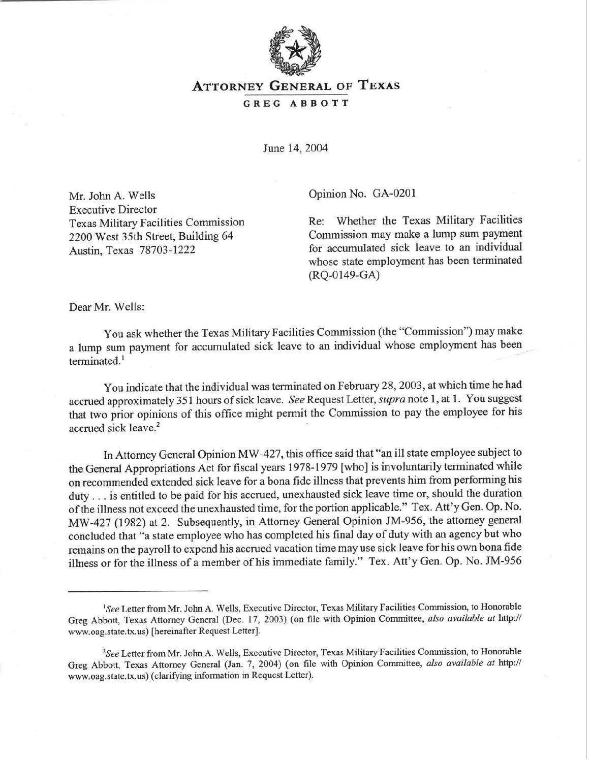

## **ATTORNEY GENERAL OF TEXAS**

## **GREG ABBOTT**

June 14,2004

Mr. John A. Wells Executive Director Texas Military Facilities Commission 2200 West 35th Street, Building 64 Austin, Texas 78703-1222

Opinion No. GA-0201

Re: Whether the Texas Military Facilities Commission may make a lump sum payment for accumulated sick leave to an individual whose state employment has been terminated (RQ-0149-GA)

Dear Mr. Wells:

You ask whether the Texas Military Facilities Commission (the "Commission") may make a lump sum payment for accumulated sick leave to an individual whose employment has been terminated.'

You indicate that the individual was terminated on February 28,2003, at which time he had accrued approximately 35 1 hours of sick leave. See Request Letter, *supra* note 1, at 1. You suggest that two prior opinions of this office might permit the Commission to pay the employee for his accrued sick leave.<sup>2</sup>

In Attorney General Opinion MW-427, this office said that "an ill state employee subject to the General Appropriations Act for fiscal years 1978-1979 [who] is involuntarily terrninated while on recommended extended sick leave for a bona fide illness that prevents him from performing his duty. . . is entitled to be paid for his accrued, unexhausted sick leave time or, should the duration of the illness not exceed the unexhausted time, for the portion applicable." Tex. Att'y Gen. Op. No. MW-427 (1982) at 2. Subsequently, in Attorney General Opinion JM-956, the attorney general concluded that "a state employee who has completed his final day of duty with an agency but who remains on the payroll to expend his accrued vacation time may use sick leave for his own bona fide illness or for the illness of a member of his immediate family." Tex. Att'y Gen. Op. No. JM-956

<sup>&#</sup>x27;See Letter from Mr. John A. Wells, Executive Director, Texas Military Facilities Commission, to Honorable Greg Abbott, Texas Attorney General (Dec. 17, 2003) ( on file with Opinion Committee, *also available at* http:// www.oag.state.tx.us) [hereinafter Request Letter].

<sup>&</sup>lt;sup>2</sup>See Letter from Mr. John A. Wells, Executive Director, Texas Military Facilities Commission, to Honorable Greg Abbott, Texas Attorney General (Jan. 7, 2004) ( on file *with* Opinion Committee, *also available at* http:// www.oag.state.tx.us) (clarifying information in Request Letter).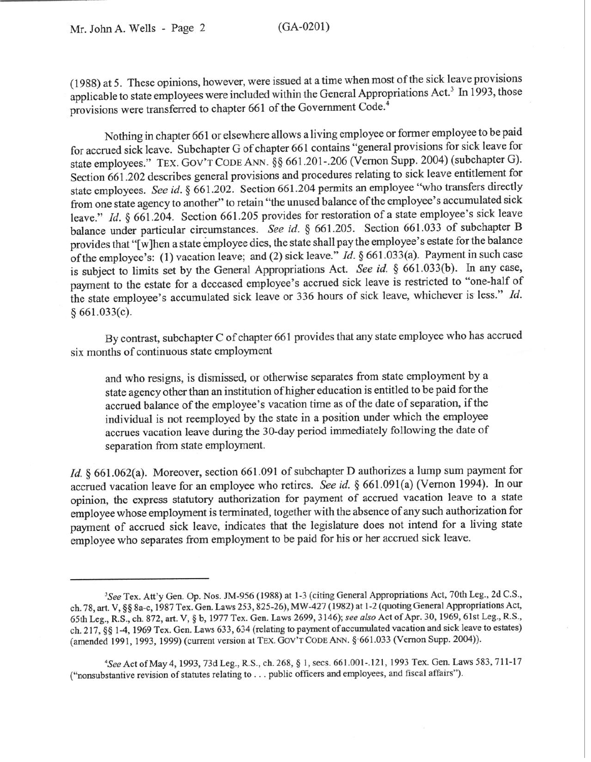(1988) at 5. These opinions, however, were issued at a time when most of the sick leave provisions applicable to state employees were included within the General Appropriations Act.<sup>3</sup> In 1993, those provisions were transferred to chapter 661 of the Government Code.4

Nothing in chapter 661 or elsewhere allows a living employee or former employee to be paid for accrued sick leave. Subchapter G of chapter 661 contains "general provisions for sick leave for state employees." TEX. GOV'T CODE ANN. §§ 661.201-.206 (Vernon Supp. 2004) (subchapter G). Section 661.202 describes general provisions and procedures relating to sick leave entitlement for state employees. See id. § 661.202. Section 661.204 permits an employee "who transfers directly from one state agency to another" to retain "the unused balance of the employee's accumulated sick leave." Id. § 661.204. Section 661.205 provides for restoration of a state employee's sick leave balance under particular circumstances. See *id.* § 661.205. Section 661.033 of subchapter B provides that "[wlhen a state employee dies, the state shall pay the employee's estate for the balance of the employee's: (1) vacation leave; and (2) sick leave." *Id.* § 661.033(a). Payment in such case is subject to limits set by the General Appropriations Act. See *id. 8* 661.033(b). In any case, payment to the estate for a deceased employee's accrued sick leave is restricted to "one-half of the state employee's accumulated sick leave or 336 hours of sick leave, whichever is less." *Id.*   $$661.033(c).$ 

By contrast, subchapter C of chapter 661 provides that any state employee who has accrued six months of continuous state employment

and who resigns, is dismissed, or otherwise separates from state employment by a state agency other than an institution of higher education is entitled to be paid for the accrued balance of the employee's vacation time as of the date of separation, if the individual is not reemployed by the state in a position under which the employee accrues vacation leave during the 30-day period immediately following the date of separation from state employment.

*Id.* § 661.062(a). Moreover, section 661.091 of subchapter D authorizes a lump sum payment for accrued vacation leave for an employee who retires. See *id. \$* 661.091(a) (Vernon 1994). In our opinion, the express statutory authorization for payment of accrued vacation leave to a state employee whose employment is terminated, together with the absence of any such authorization for payment of accrued sick leave, indicates that the legislature does not intend for a living state employee who separates from employment to be paid for his or her accrued sick leave.

<sup>&</sup>lt;sup>3</sup>See Tex. Att'y Gen. Op. Nos. JM-956 (1988) at 1-3 (citing General Appropriations Act, 70th Leg., 2d C.S., ch. 78, art. V, §§ 8a-c, 1987 Tex. Gen. Laws 253, 825-26), MW-427 (1982) at 1-2 (quoting General Appropriations Act, 65th Leg., R.S., ch. 872, art. V, § b, 1977 Tex. Gen. Laws 2699, 3146); see also Act of Apr. 30, 1969, 61st Leg., R.S., ch. 217, §§ 1-4, 1969 Tex. Gen. Laws 633, 634 (relating to payment of accumulated vacation and sick leave to estates) (amended 1991, 1993, 1999) ( current version at TEX. GOV'T CODE ANN. § 661.033 ( Vernon Supp. 2004)).

<sup>4</sup>SeeActofMay4, 1993,73dLeg.,R.S.,ch.268,§ 1,secs. 661.001-.121, 1993Tex.Gen.Laws583,711-17 ("nonsubstantive revision of statutes relating to . . . public officers and employees, and fiscal affairs").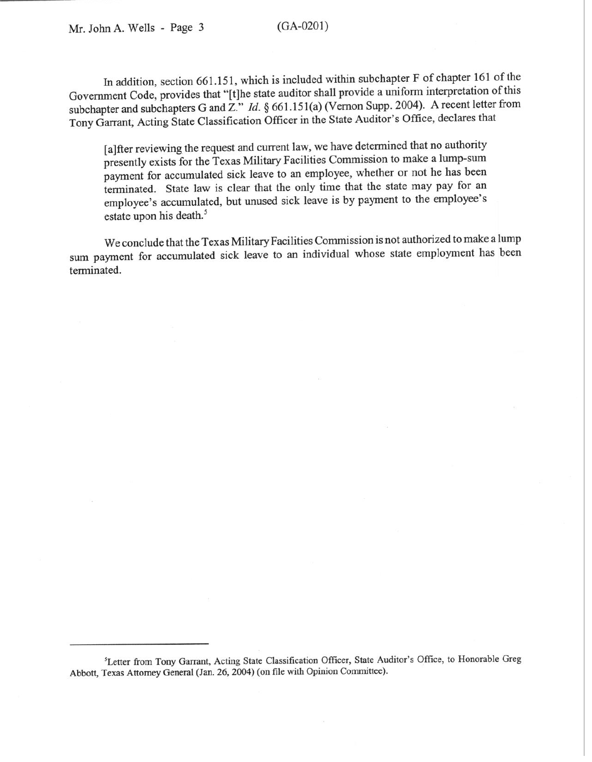In addition, section 661.151, which is included within subchapter F of chapter 161 of the Government Code, provides that "[tlhe state auditor shall provide a uniform interpretation of this subchapter and subchapters G and Z." *Id.* § 661.151(a) (Vernon Supp. 2004). A recent letter from Tony Garrant; Acting State Classification Officer in the State Auditor's Office, declares that

[a]fter reviewing the request and current law, we have determined that no authority presently exists for the Texas Military Facilities Commission to make a lump-sum payment for accumulated sick leave to an employee, whether or not he has been terminated. State law is clear that the only time that the state may pay for an employee's accumulated, but unused sick leave is by payment to the employee's estate upon his death.<sup>5</sup>

We conclude that the Texas Military Facilities Commission is not authorized to make a lump sum payment for accumulated sick leave to an individual whose state employment has been terminated.

<sup>&</sup>lt;sup>5</sup>Letter from Tony Garrant, Acting State Classification Officer, State Auditor's Office, to Honorable Greg Abbott, Texas Attorney General (Jan. 26,2004) (on file with Opinion Committee).